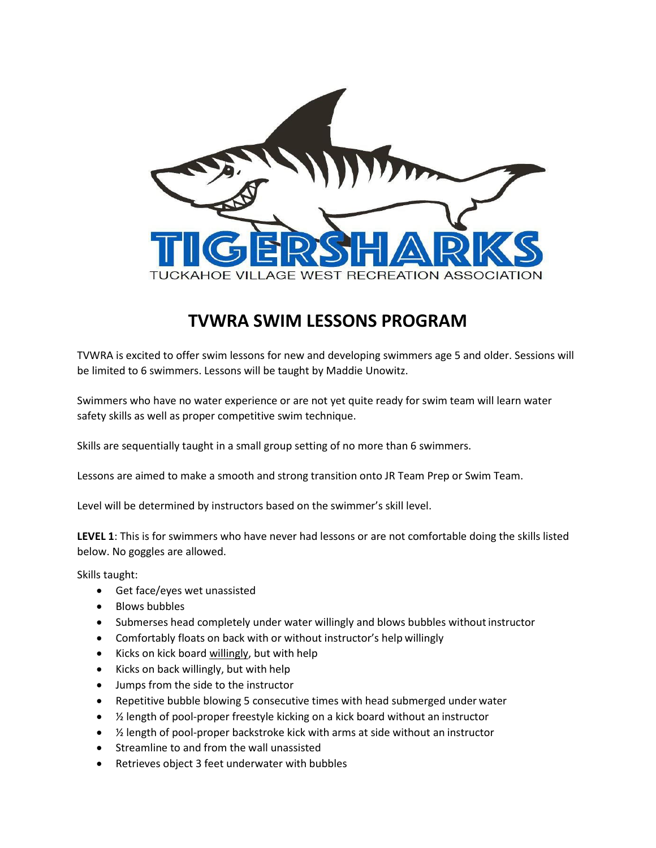

## **TVWRA SWIM LESSONS PROGRAM**

TVWRA is excited to offer swim lessons for new and developing swimmers age 5 and older. Sessions will be limited to 6 swimmers. Lessons will be taught by Maddie Unowitz.

Swimmers who have no water experience or are not yet quite ready for swim team will learn water safety skills as well as proper competitive swim technique.

Skills are sequentially taught in a small group setting of no more than 6 swimmers.

Lessons are aimed to make a smooth and strong transition onto JR Team Prep or Swim Team.

Level will be determined by instructors based on the swimmer's skill level.

**LEVEL 1**: This is for swimmers who have never had lessons or are not comfortable doing the skills listed below. No goggles are allowed.

Skills taught:

- Get face/eyes wet unassisted
- Blows bubbles
- Submerses head completely under water willingly and blows bubbles without instructor
- Comfortably floats on back with or without instructor's help willingly
- Kicks on kick board willingly, but with help
- Kicks on back willingly, but with help
- Jumps from the side to the instructor
- Repetitive bubble blowing 5 consecutive times with head submerged under water
- 1/2 length of pool-proper freestyle kicking on a kick board without an instructor
- $\bullet$   $\frac{1}{2}$  length of pool-proper backstroke kick with arms at side without an instructor
- Streamline to and from the wall unassisted
- Retrieves object 3 feet underwater with bubbles